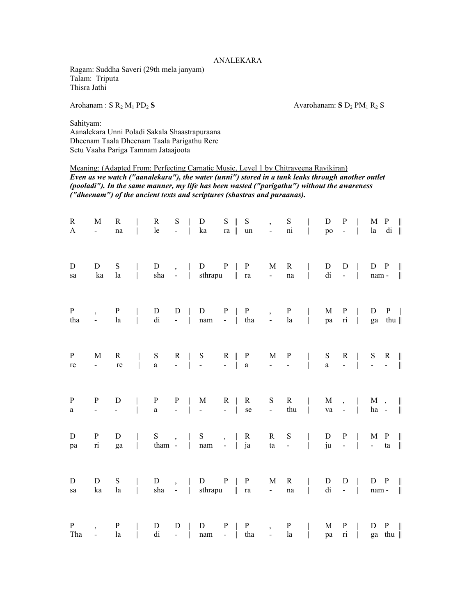## ANALEKARA

Ragam: Suddha Saveri (29th mela janyam) Talam: Triputa Thisra Jathi

Arohanam : S R<sub>2</sub> M<sub>1</sub> PD<sub>2</sub> S Avarohanam: S D<sub>2</sub> PM<sub>1</sub> R<sub>2</sub> S

Sahityam: Aanalekara Unni Poladi Sakala Shaastrapuraana Dheenam Taala Dheenam Taala Parigathu Rere Setu Vaaha Pariga Tamnam Jataajoota

## Meaning: (Adapted From: Perfecting Carnatic Music, Level 1 by Chitraveena Ravikiran)

*Even as we watch ("aanalekara"), the water (unni") stored in a tank leaks through another outlet (pooladi"). In the same manner, my life has been wasted ("parigathu") without the awareness ("dheenam") of the ancient texts and scriptures (shastras and puraanas).* 

| $\mathbf R$<br>A    | M<br>$\sim$                               | $\mathbf R$<br>$\rm na$ | $\mathbb{L}$                             | $\mathbf R$<br>le        | ${\bf S}$           | $  -$                 | ${\rm D}$<br>ka                                                                     | $S \parallel$<br>ra $\parallel$ | S<br>un                    | $\overline{z}$<br>$\alpha$ , $\alpha$ , $\alpha$ , $\alpha$ , $\alpha$ | S<br>ni                             | $\sim$ 1.000                                                 | D<br>po            | P<br>$\sim$ $\sim$ $\sim$ $\sim$ |                | la                                               | $M$ P $\parallel$<br>$di \parallel$ |                             |
|---------------------|-------------------------------------------|-------------------------|------------------------------------------|--------------------------|---------------------|-----------------------|-------------------------------------------------------------------------------------|---------------------------------|----------------------------|------------------------------------------------------------------------|-------------------------------------|--------------------------------------------------------------|--------------------|----------------------------------|----------------|--------------------------------------------------|-------------------------------------|-----------------------------|
| $\mathbf D$<br>sa   | D<br>ka                                   | $S_{\text{}}$<br>la     | $\mathbb{R}$<br>$\mathbb{R}$             | ${\rm D}$                |                     | $\, , \qquad  $       | $D \quad P \parallel$<br>sha -   sthrapu    ra                                      |                                 | $\mathbf{P}$               | M<br>$\frac{1}{2}$ .                                                   | $\mathbf{R}$<br>$\operatorname{na}$ | $\mathbb{L}$                                                 | D<br>di            | D<br>$- - 1$                     | $\Box$         | $\mathsf{nam}$ - $\ \cdot\ $                     | $D$ $P$                             |                             |
| $\mathbf{P}$<br>tha | $\overline{\phantom{a}}$                  | $\mathbf{P}$<br>la      | $\mathbb{R}$                             | ${\bf D}$<br>di          | $D \mid$            |                       | D<br>- $\parallel$ nam - $\parallel$ tha -                                          |                                 | $P \parallel P$            | $\overline{\phantom{0}}$                                               | P<br>la                             | $\sim$ 1.00                                                  | M<br>pa            | P                                | $ri$           |                                                  | $D$ $P$   <br>ga thu                |                             |
| $\mathbf{P}$<br>re  | M<br>$\sim 10^4$                          | $\mathbf R$<br>re       | $\mathbb{R}$<br>$\mathcal{L}$            | S<br>$\mathbf{a}$        |                     | $R \mid S$<br>$ -$    | $\frac{1}{2} \left( \frac{1}{2} \right)$ , $\frac{1}{2} \left( \frac{1}{2} \right)$ | $-$   a                         | $R \parallel P$            | M<br>$\omega_{\rm{max}}$ and $\omega_{\rm{max}}$                       | $\mathbf{P}$                        | $\mathbb{R}$<br>$\overline{a}$                               | S<br>$\mathbf{a}$  |                                  |                | $R \parallel S \parallel R \parallel$<br>$    -$ |                                     |                             |
| $\mathbf{P}$<br>a   | $\mathbf{P}$<br>$\mathbb{L}^{\mathbb{N}}$ | ${\bf D}$<br>$\omega$   | $\mathbb{R}$<br>$\overline{\phantom{a}}$ | $\, {\bf p}$<br>$\rm{a}$ |                     | $P \mid$<br>$ \cdots$ | M<br>$\mathcal{L}_{\text{max}}$                                                     | $R \parallel$<br>$-$    se      | $\mathbf{R}$               | S<br>$\Delta \sim 10^4$                                                | $R \qquad  $<br>thu                 | $\frac{1}{2}$                                                | M<br>va            | $\mathbb{L}$                     | $\mathbb{R}$   | $\, , \quad \vert \quad M \quad ,$<br>ha -       |                                     | $\mathbb{I}$<br>$\parallel$ |
| $\mathbf D$<br>pa   | $\mathbf{P}$<br>$\overline{\mathbf{n}}$   | D<br>ga                 |                                          | $S_{\text{}}$            | $\,$ , $\,$ $\,$    |                       | ${\bf S}$<br>  tham - $\parallel$ nam - $\parallel$ ja                              | $\,,\quad\ \quad R$             |                            | $\mathbf R$                                                            | ${\bf S}$<br>$\tan -$               | $\overline{1}$                                               | D<br>ju            | P<br>$\sim$ $\sim$ $\sim$ $\sim$ |                | $M$ $P$<br>- ta                                  |                                     | $\parallel$<br>$\parallel$  |
| D<br>sa             | D<br>ka                                   | S<br>la                 | $\mathbb{R}$<br>$\mathbb{R}^n$           | $\mathbf D$              |                     |                       | $\, , \quad   \quad D \qquad P \parallel$<br>sha - $\vert$ sthrapu $\vert \vert$ ra |                                 | $\mathbf{P}$               | M<br>$\sim 10^4$                                                       | $\mathbf R$<br>$\rm na$             | $\mathbb{R}$                                                 | D<br>di            | D                                | $\sim$ $   -$  |                                                  | $D$ $P$   <br>$nam -   $            |                             |
| $\mathbf{P}$<br>Tha | $\overline{\phantom{a}}$<br>$\mathcal{L}$ | ${\bf P}$<br>la         |                                          | ${\bf D}$<br>di          | $\mathbf D$<br>$ -$ |                       | ${\bf D}$<br>nam                                                                    | $P \parallel$                   | $\mathbf{P}$<br>$-$    tha | $\overline{\phantom{a}}$<br>$\sim 10^{-1}$                             | la                                  | $\begin{array}{c c}\nP &   \\ la &   \\ a &   \n\end{array}$ | $\mathbf{M}$<br>pa | P<br>$\overline{\textbf{n}}$     | $\mathbb{R}^n$ |                                                  | $D$ $P$   <br>ga thu $\parallel$    |                             |